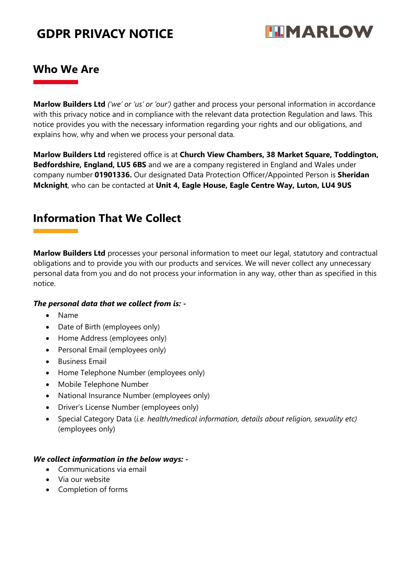

#### **Who We Are**

**Marlow Builders Ltd** *('we' or 'us' or 'our')* gather and process your personal information in accordance with this privacy notice and in compliance with the relevant data protection Regulation and laws. This notice provides you with the necessary information regarding your rights and our obligations, and explains how, why and when we process your personal data.

**Marlow Builders Ltd** registered office is at **Church View Chambers, 38 Market Square, Toddington, Bedfordshire, England, LU5 6BS** and we are a company registered in England and Wales under company number **01901336.** Our designated Data Protection Officer/Appointed Person is **Sheridan Mcknight**, who can be contacted at **Unit 4, Eagle House, Eagle Centre Way, Luton, LU4 9US**

### **Information That We Collect**

**Marlow Builders Ltd** processes your personal information to meet our legal, statutory and contractual obligations and to provide you with our products and services. We will never collect any unnecessary personal data from you and do not process your information in any way, other than as specified in this notice.

#### *The personal data that we collect from is: -*

- Name
- Date of Birth (employees only)
- Home Address (employees only)
- Personal Email (employees only)
- **•** Business Email
- Home Telephone Number (employees only)
- Mobile Telephone Number
- National Insurance Number (employees only)
- Driver's License Number (employees only)
- Special Category Data (*i.e. health/medical information, details about religion, sexuality etc)* (employees only)

#### *We collect information in the below ways: -*

- Communications via email
- Via our website
- Completion of forms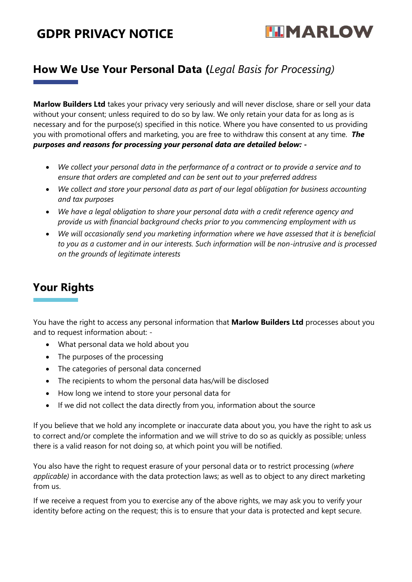

### **How We Use Your Personal Data (***Legal Basis for Processing)*

**Marlow Builders Ltd** takes your privacy very seriously and will never disclose, share or sell your data without your consent; unless required to do so by law. We only retain your data for as long as is necessary and for the purpose(s) specified in this notice. Where you have consented to us providing you with promotional offers and marketing, you are free to withdraw this consent at any time. *The purposes and reasons for processing your personal data are detailed below: -*

- *We collect your personal data in the performance of a contract or to provide a service and to ensure that orders are completed and can be sent out to your preferred address*
- *We collect and store your personal data as part of our legal obligation for business accounting and tax purposes*
- *We have a legal obligation to share your personal data with a credit reference agency and provide us with financial background checks prior to you commencing employment with us*
- *We will occasionally send you marketing information where we have assessed that it is beneficial to you as a customer and in our interests. Such information will be non-intrusive and is processed on the grounds of legitimate interests*

## **Your Rights**

You have the right to access any personal information that **Marlow Builders Ltd** processes about you and to request information about: -

- What personal data we hold about you
- The purposes of the processing
- The categories of personal data concerned
- The recipients to whom the personal data has/will be disclosed
- How long we intend to store your personal data for
- If we did not collect the data directly from you, information about the source

If you believe that we hold any incomplete or inaccurate data about you, you have the right to ask us to correct and/or complete the information and we will strive to do so as quickly as possible; unless there is a valid reason for not doing so, at which point you will be notified.

You also have the right to request erasure of your personal data or to restrict processing (*where applicable)* in accordance with the data protection laws; as well as to object to any direct marketing from us.

If we receive a request from you to exercise any of the above rights, we may ask you to verify your identity before acting on the request; this is to ensure that your data is protected and kept secure.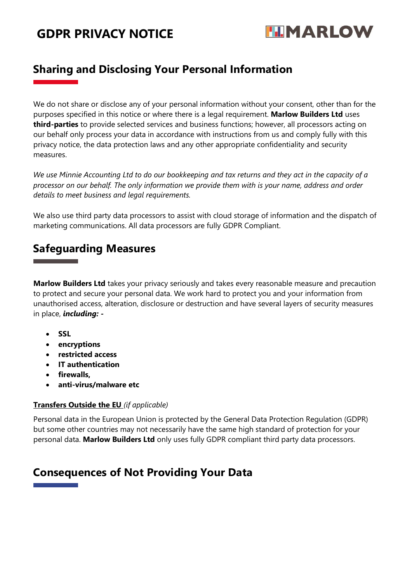

### **Sharing and Disclosing Your Personal Information**

We do not share or disclose any of your personal information without your consent, other than for the purposes specified in this notice or where there is a legal requirement. **Marlow Builders Ltd** uses **third-parties** to provide selected services and business functions; however, all processors acting on our behalf only process your data in accordance with instructions from us and comply fully with this privacy notice, the data protection laws and any other appropriate confidentiality and security measures.

*We use Minnie Accounting Ltd to do our bookkeeping and tax returns and they act in the capacity of a processor on our behalf. The only information we provide them with is your name, address and order details to meet business and legal requirements.* 

We also use third party data processors to assist with cloud storage of information and the dispatch of marketing communications. All data processors are fully GDPR Compliant.

#### **Safeguarding Measures**

**Marlow Builders Ltd** takes your privacy seriously and takes every reasonable measure and precaution to protect and secure your personal data. We work hard to protect you and your information from unauthorised access, alteration, disclosure or destruction and have several layers of security measures in place, *including: -*

- **SSL**
- **encryptions**
- **restricted access**
- **IT authentication**
- **firewalls,**
- **anti-virus/malware etc**

#### **Transfers Outside the EU** *(if applicable)*

Personal data in the European Union is protected by the General Data Protection Regulation (GDPR) but some other countries may not necessarily have the same high standard of protection for your personal data. **Marlow Builders Ltd** only uses fully GDPR compliant third party data processors.

### **Consequences of Not Providing Your Data**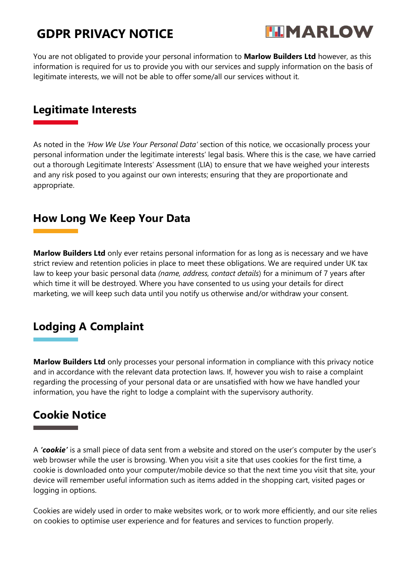

You are not obligated to provide your personal information to **Marlow Builders Ltd** however, as this information is required for us to provide you with our services and supply information on the basis of legitimate interests, we will not be able to offer some/all our services without it.

#### **Legitimate Interests**

As noted in the *'How We Use Your Personal Data'* section of this notice, we occasionally process your personal information under the legitimate interests' legal basis. Where this is the case, we have carried out a thorough Legitimate Interests' Assessment (LIA) to ensure that we have weighed your interests and any risk posed to you against our own interests; ensuring that they are proportionate and appropriate.

### **How Long We Keep Your Data**

**Marlow Builders Ltd** only ever retains personal information for as long as is necessary and we have strict review and retention policies in place to meet these obligations. We are required under UK tax law to keep your basic personal data *(name, address, contact details*) for a minimum of 7 years after which time it will be destroyed. Where you have consented to us using your details for direct marketing, we will keep such data until you notify us otherwise and/or withdraw your consent.

## **Lodging A Complaint**

**Marlow Builders Ltd** only processes your personal information in compliance with this privacy notice and in accordance with the relevant data protection laws. If, however you wish to raise a complaint regarding the processing of your personal data or are unsatisfied with how we have handled your information, you have the right to lodge a complaint with the supervisory authority.

### **Cookie Notice**

A *'cookie'* is a small piece of data sent from a website and stored on the user's computer by the user's web browser while the user is browsing. When you visit a site that uses cookies for the first time, a cookie is downloaded onto your computer/mobile device so that the next time you visit that site, your device will remember useful information such as items added in the shopping cart, visited pages or logging in options.

Cookies are widely used in order to make websites work, or to work more efficiently, and our site relies on cookies to optimise user experience and for features and services to function properly.